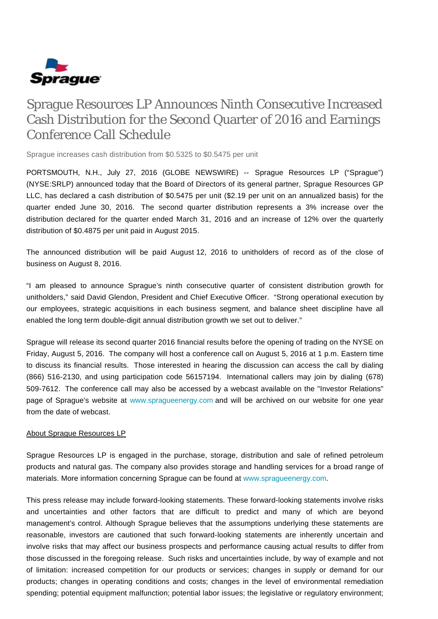

## Sprague Resources LP Announces Ninth Consecutive Increased Cash Distribution for the Second Quarter of 2016 and Earnings Conference Call Schedule

Sprague increases cash distribution from \$0.5325 to \$0.5475 per unit

PORTSMOUTH, N.H., July 27, 2016 (GLOBE NEWSWIRE) -- Sprague Resources LP ("Sprague") (NYSE:SRLP) announced today that the Board of Directors of its general partner, Sprague Resources GP LLC, has declared a cash distribution of \$0.5475 per unit (\$2.19 per unit on an annualized basis) for the quarter ended June 30, 2016. The second quarter distribution represents a 3% increase over the distribution declared for the quarter ended March 31, 2016 and an increase of 12% over the quarterly distribution of \$0.4875 per unit paid in August 2015.

The announced distribution will be paid August 12, 2016 to unitholders of record as of the close of business on August 8, 2016.

"I am pleased to announce Sprague's ninth consecutive quarter of consistent distribution growth for unitholders," said David Glendon, President and Chief Executive Officer. "Strong operational execution by our employees, strategic acquisitions in each business segment, and balance sheet discipline have all enabled the long term double-digit annual distribution growth we set out to deliver."

Sprague will release its second quarter 2016 financial results before the opening of trading on the NYSE on Friday, August 5, 2016. The company will host a conference call on August 5, 2016 at 1 p.m. Eastern time to discuss its financial results. Those interested in hearing the discussion can access the call by dialing (866) 516-2130, and using participation code 56157194. International callers may join by dialing (678) 509-7612. The conference call may also be accessed by a webcast available on the "Investor Relations" page of Sprague's website at [www.spragueenergy.com](http://www.spragueenergy.com/) and will be archived on our website for one year from the date of webcast.

## About Sprague Resources LP

Sprague Resources LP is engaged in the purchase, storage, distribution and sale of refined petroleum products and natural gas. The company also provides storage and handling services for a broad range of materials. More information concerning Sprague can be found at [www.spragueenergy.com](http://www.spragueenergy.com/).

This press release may include forward-looking statements. These forward-looking statements involve risks and uncertainties and other factors that are difficult to predict and many of which are beyond management's control. Although Sprague believes that the assumptions underlying these statements are reasonable, investors are cautioned that such forward-looking statements are inherently uncertain and involve risks that may affect our business prospects and performance causing actual results to differ from those discussed in the foregoing release. Such risks and uncertainties include, by way of example and not of limitation: increased competition for our products or services; changes in supply or demand for our products; changes in operating conditions and costs; changes in the level of environmental remediation spending; potential equipment malfunction; potential labor issues; the legislative or regulatory environment;